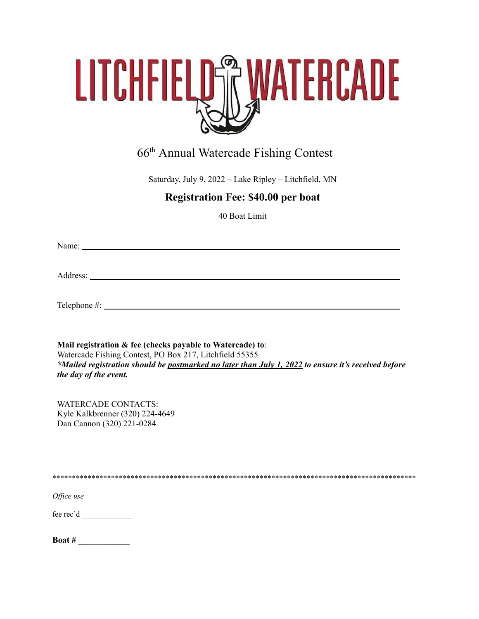

# 66<sup>th</sup> Annual Watercade Fishing Contest

Saturday, July 9, 2022 - Lake Ripley - Litchfield, MN

## **Registration Fee: \$40.00 per boat**

40 Boat Limit

Address: the contract of the contract of the contract of the contract of the contract of the contract of the contract of the contract of the contract of the contract of the contract of the contract of the contract of the c

Telephone  $\#$ :

Mail registration & fee (checks payable to Watercade) to: Watercade Fishing Contest, PO Box 217, Litchfield 55355 \*Mailed registration should be postmarked no later than July 1, 2022 to ensure it's received before the day of the event.

**WATERCADE CONTACTS:** Kyle Kalkbrenner (320) 224-4649 Dan Cannon (320) 221-0284

Office use

| Boat # |  |  |  |  |  |  |  |
|--------|--|--|--|--|--|--|--|
|        |  |  |  |  |  |  |  |